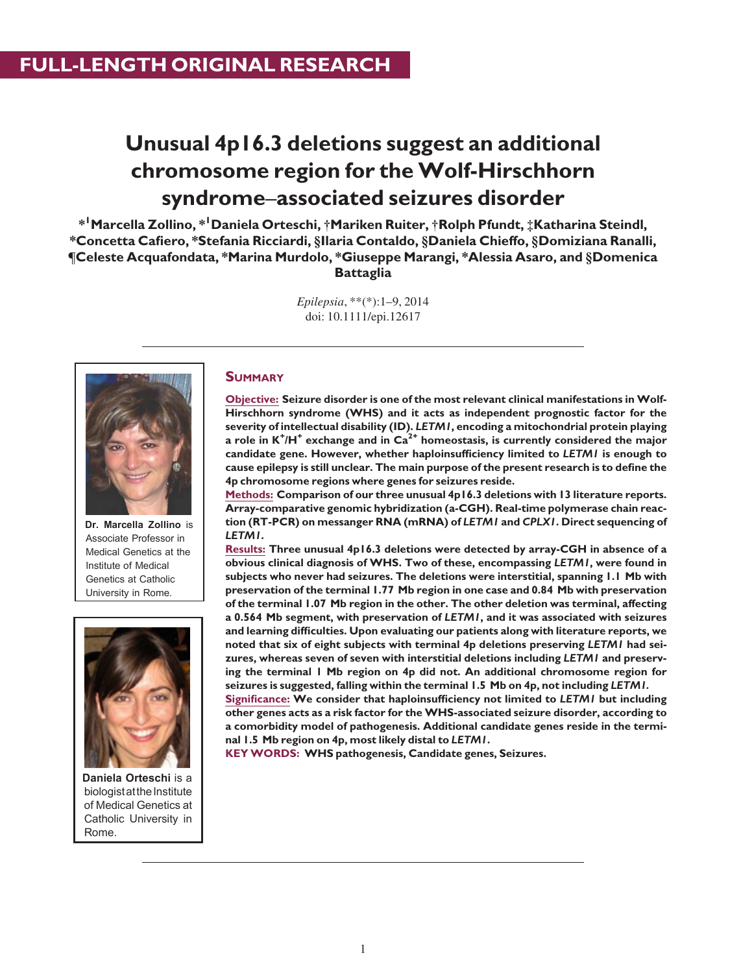# Unusual 4p16.3 deletions suggest an additional chromosome region for the Wolf-Hirschhorn syndrome–associated seizures disorder

 $\ast^{\textsf{I}}$ Marcella Zollino,  $\ast^{\textsf{I}}$ Daniela Orteschi, †Mariken Ruiter, †Rolph Pfundt, ‡Katharina Steindl, \*Concetta Cafiero, \*Stefania Ricciardi, §Ilaria Contaldo, §Daniela Chieffo, §Domiziana Ranalli, ¶Celeste Acquafondata, \*Marina Murdolo, \*Giuseppe Marangi, \*Alessia Asaro, and §Domenica **Battaglia** 

> Epilepsia, \*\*(\*):1–9, 2014 doi: 10.1111/epi.12617



Dr. Marcella Zollino is Associate Professor in Medical Genetics at the Institute of Medical Genetics at Catholic University in Rome.



Daniela Orteschi is a biologist at the Institute of Medical Genetics at Catholic University in Rome.

## **SUMMARY**

Objective: Seizure disorder is one of the most relevant clinical manifestations in Wolf-Hirschhorn syndrome (WHS) and it acts as independent prognostic factor for the severity of intellectual disability (ID). LETM1, encoding a mitochondrial protein playing a role in  $K^+$ /H $^+$  exchange and in  $\text{Ca}^{2+}$  homeostasis, is currently considered the major candidate gene. However, whether haploinsufficiency limited to LETM1 is enough to cause epilepsy is still unclear. The main purpose of the present research is to define the 4p chromosome regions where genes for seizures reside.

Methods: Comparison of our three unusual 4p16.3 deletions with 13 literature reports. Array-comparative genomic hybridization (a-CGH). Real-time polymerase chain reaction (RT-PCR) on messanger RNA (mRNA) of LETM1 and CPLX1. Direct sequencing of LETM1.

Results: Three unusual 4p16.3 deletions were detected by array-CGH in absence of a obvious clinical diagnosis of WHS. Two of these, encompassing LETM1, were found in subjects who never had seizures. The deletions were interstitial, spanning 1.1 Mb with preservation of the terminal 1.77 Mb region in one case and 0.84 Mb with preservation of the terminal 1.07 Mb region in the other. The other deletion was terminal, affecting a 0.564 Mb segment, with preservation of LETM1, and it was associated with seizures and learning difficulties. Upon evaluating our patients along with literature reports, we noted that six of eight subjects with terminal 4p deletions preserving LETM1 had seizures, whereas seven of seven with interstitial deletions including LETM1 and preserving the terminal 1 Mb region on 4p did not. An additional chromosome region for seizures is suggested, falling within the terminal 1.5 Mb on 4p, not including LETM1.

Significance: We consider that haploinsufficiency not limited to LETM1 but including other genes acts as a risk factor for the WHS-associated seizure disorder, according to a comorbidity model of pathogenesis. Additional candidate genes reside in the terminal 1.5 Mb region on 4p, most likely distal to LETM1.

KEY WORDS: WHS pathogenesis, Candidate genes, Seizures.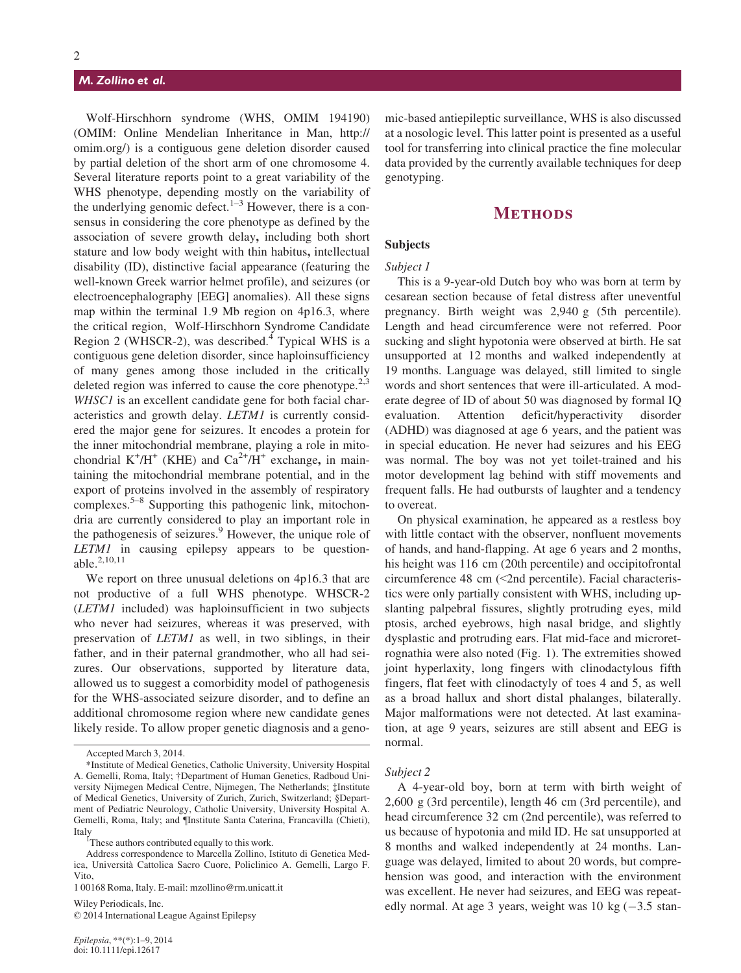## M. Zollino et al.

Wolf-Hirschhorn syndrome (WHS, OMIM 194190) (OMIM: Online Mendelian Inheritance in Man, http:// omim.org/) is a contiguous gene deletion disorder caused by partial deletion of the short arm of one chromosome 4. Several literature reports point to a great variability of the WHS phenotype, depending mostly on the variability of the underlying genomic defect. $1-3$  However, there is a consensus in considering the core phenotype as defined by the association of severe growth delay, including both short stature and low body weight with thin habitus, intellectual disability (ID), distinctive facial appearance (featuring the well-known Greek warrior helmet profile), and seizures (or electroencephalography [EEG] anomalies). All these signs map within the terminal 1.9 Mb region on 4p16.3, where the critical region, Wolf-Hirschhorn Syndrome Candidate Region 2 (WHSCR-2), was described. $4$  Typical WHS is a contiguous gene deletion disorder, since haploinsufficiency of many genes among those included in the critically deleted region was inferred to cause the core phenotype.<sup>2,3</sup> WHSC1 is an excellent candidate gene for both facial characteristics and growth delay. LETM1 is currently considered the major gene for seizures. It encodes a protein for the inner mitochondrial membrane, playing a role in mitochondrial  $K^+/H^+$  (KHE) and  $Ca^{2+}/H^+$  exchange, in maintaining the mitochondrial membrane potential, and in the export of proteins involved in the assembly of respiratory complexes.5–<sup>8</sup> Supporting this pathogenic link, mitochondria are currently considered to play an important role in the pathogenesis of seizures.<sup>9</sup> However, the unique role of LETM1 in causing epilepsy appears to be questionable.2,10,11

We report on three unusual deletions on 4p16.3 that are not productive of a full WHS phenotype. WHSCR-2 (LETM1 included) was haploinsufficient in two subjects who never had seizures, whereas it was preserved, with preservation of LETM1 as well, in two siblings, in their father, and in their paternal grandmother, who all had seizures. Our observations, supported by literature data, allowed us to suggest a comorbidity model of pathogenesis for the WHS-associated seizure disorder, and to define an additional chromosome region where new candidate genes likely reside. To allow proper genetic diagnosis and a geno-

Wiley Periodicals, Inc. © 2014 International League Against Epilepsy mic-based antiepileptic surveillance, WHS is also discussed at a nosologic level. This latter point is presented as a useful tool for transferring into clinical practice the fine molecular data provided by the currently available techniques for deep genotyping.

## **METHODS**

## Subjects

## Subject 1

This is a 9-year-old Dutch boy who was born at term by cesarean section because of fetal distress after uneventful pregnancy. Birth weight was 2,940 g (5th percentile). Length and head circumference were not referred. Poor sucking and slight hypotonia were observed at birth. He sat unsupported at 12 months and walked independently at 19 months. Language was delayed, still limited to single words and short sentences that were ill-articulated. A moderate degree of ID of about 50 was diagnosed by formal IQ evaluation. Attention deficit/hyperactivity disorder (ADHD) was diagnosed at age 6 years, and the patient was in special education. He never had seizures and his EEG was normal. The boy was not yet toilet-trained and his motor development lag behind with stiff movements and frequent falls. He had outbursts of laughter and a tendency to overeat.

On physical examination, he appeared as a restless boy with little contact with the observer, nonfluent movements of hands, and hand-flapping. At age 6 years and 2 months, his height was 116 cm (20th percentile) and occipitofrontal circumference 48 cm (<2nd percentile). Facial characteristics were only partially consistent with WHS, including upslanting palpebral fissures, slightly protruding eyes, mild ptosis, arched eyebrows, high nasal bridge, and slightly dysplastic and protruding ears. Flat mid-face and microretrognathia were also noted (Fig. 1). The extremities showed joint hyperlaxity, long fingers with clinodactylous fifth fingers, flat feet with clinodactyly of toes 4 and 5, as well as a broad hallux and short distal phalanges, bilaterally. Major malformations were not detected. At last examination, at age 9 years, seizures are still absent and EEG is normal.

## Subject 2

A 4-year-old boy, born at term with birth weight of 2,600 g (3rd percentile), length 46 cm (3rd percentile), and head circumference 32 cm (2nd percentile), was referred to us because of hypotonia and mild ID. He sat unsupported at 8 months and walked independently at 24 months. Language was delayed, limited to about 20 words, but comprehension was good, and interaction with the environment was excellent. He never had seizures, and EEG was repeatedly normal. At age 3 years, weight was 10 kg  $(-3.5 \text{ stan-})$ 

Accepted March 3, 2014.

<sup>\*</sup>Institute of Medical Genetics, Catholic University, University Hospital A. Gemelli, Roma, Italy; †Department of Human Genetics, Radboud University Nijmegen Medical Centre, Nijmegen, The Netherlands; ‡Institute of Medical Genetics, University of Zurich, Zurich, Switzerland; §Department of Pediatric Neurology, Catholic University, University Hospital A. Gemelli, Roma, Italy; and ¶Institute Santa Caterina, Francavilla (Chieti), Italy<br><sup>1</sup>These authors contributed equally to this work.

Address correspondence to Marcella Zollino, Istituto di Genetica Medica, Universita Cattolica Sacro Cuore, Policlinico A. Gemelli, Largo F. Vito,

<sup>1 00168</sup> Roma, Italy. E-mail: mzollino@rm.unicatt.it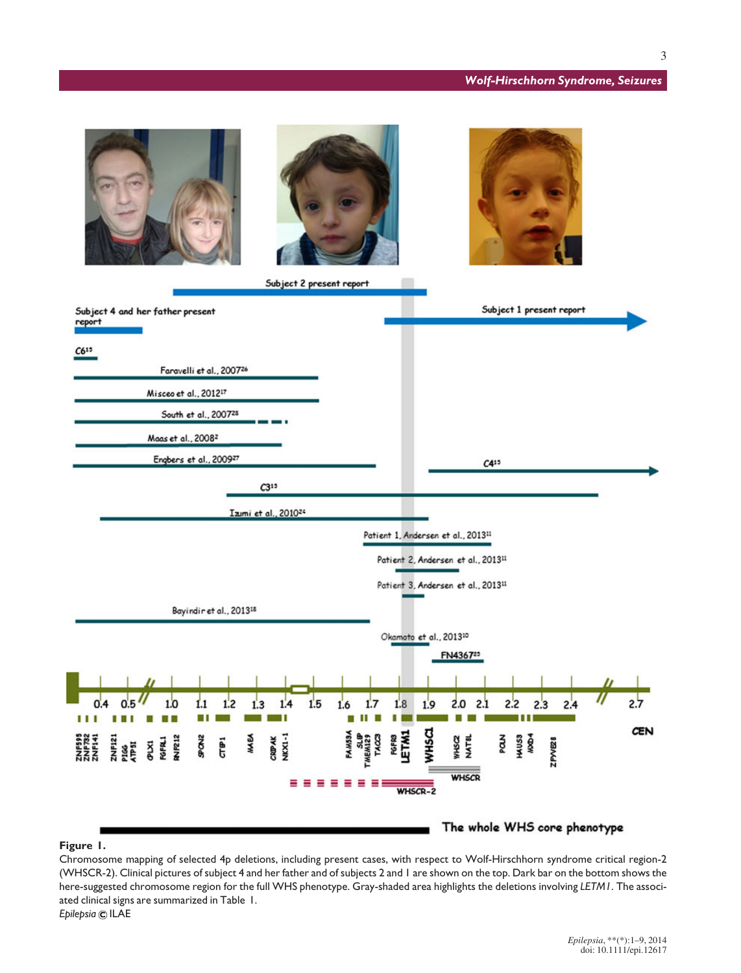## Wolf-Hirschhorn Syndrome, Seizures



## Figure 1.

Chromosome mapping of selected 4p deletions, including present cases, with respect to Wolf-Hirschhorn syndrome critical region-2 (WHSCR-2). Clinical pictures of subject 4 and her father and of subjects 2 and 1 are shown on the top. Dark bar on the bottom shows the here-suggested chromosome region for the full WHS phenotype. Gray-shaded area highlights the deletions involving LETM1. The associated clinical signs are summarized in Table 1. Epilepsia © ILAE

> Epilepsia, \*\*(\*):1–9, 2014 doi: 10.1111/epi.12617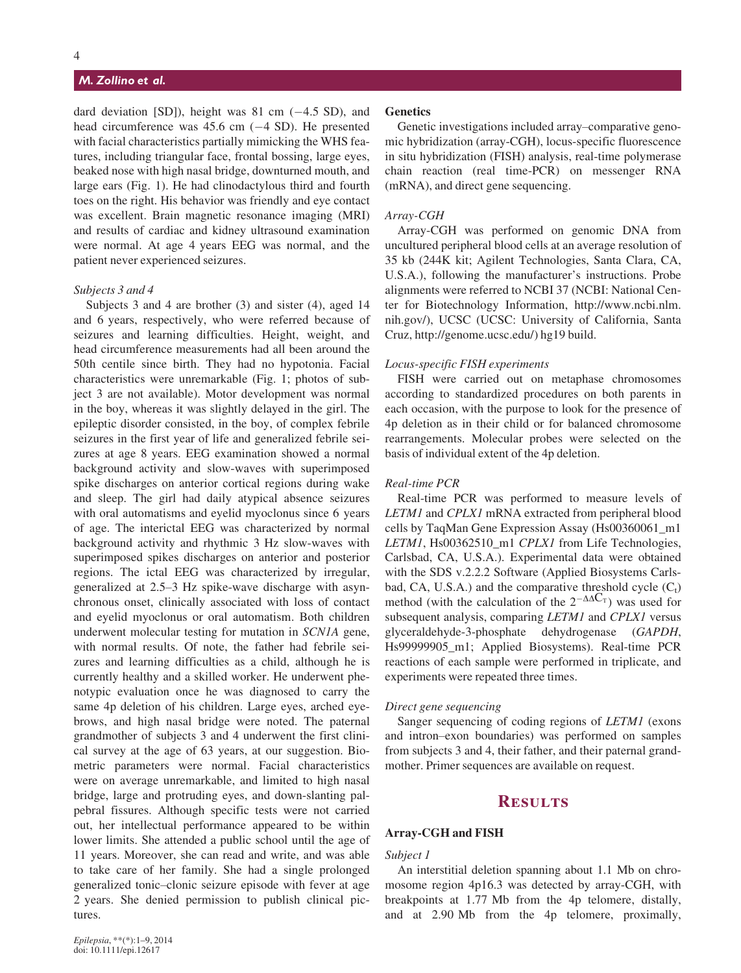## M. Zollino et al.

dard deviation [SD]), height was  $81 \text{ cm}$  (-4.5 SD), and head circumference was  $45.6$  cm  $(-4 \text{ SD})$ . He presented with facial characteristics partially mimicking the WHS features, including triangular face, frontal bossing, large eyes, beaked nose with high nasal bridge, downturned mouth, and large ears (Fig. 1). He had clinodactylous third and fourth toes on the right. His behavior was friendly and eye contact was excellent. Brain magnetic resonance imaging (MRI) and results of cardiac and kidney ultrasound examination were normal. At age 4 years EEG was normal, and the patient never experienced seizures.

#### Subjects 3 and 4

Subjects 3 and 4 are brother (3) and sister (4), aged 14 and 6 years, respectively, who were referred because of seizures and learning difficulties. Height, weight, and head circumference measurements had all been around the 50th centile since birth. They had no hypotonia. Facial characteristics were unremarkable (Fig. 1; photos of subject 3 are not available). Motor development was normal in the boy, whereas it was slightly delayed in the girl. The epileptic disorder consisted, in the boy, of complex febrile seizures in the first year of life and generalized febrile seizures at age 8 years. EEG examination showed a normal background activity and slow-waves with superimposed spike discharges on anterior cortical regions during wake and sleep. The girl had daily atypical absence seizures with oral automatisms and eyelid myoclonus since 6 years of age. The interictal EEG was characterized by normal background activity and rhythmic 3 Hz slow-waves with superimposed spikes discharges on anterior and posterior regions. The ictal EEG was characterized by irregular, generalized at 2.5–3 Hz spike-wave discharge with asynchronous onset, clinically associated with loss of contact and eyelid myoclonus or oral automatism. Both children underwent molecular testing for mutation in SCN1A gene, with normal results. Of note, the father had febrile seizures and learning difficulties as a child, although he is currently healthy and a skilled worker. He underwent phenotypic evaluation once he was diagnosed to carry the same 4p deletion of his children. Large eyes, arched eyebrows, and high nasal bridge were noted. The paternal grandmother of subjects 3 and 4 underwent the first clinical survey at the age of 63 years, at our suggestion. Biometric parameters were normal. Facial characteristics were on average unremarkable, and limited to high nasal bridge, large and protruding eyes, and down-slanting palpebral fissures. Although specific tests were not carried out, her intellectual performance appeared to be within lower limits. She attended a public school until the age of 11 years. Moreover, she can read and write, and was able to take care of her family. She had a single prolonged generalized tonic–clonic seizure episode with fever at age 2 years. She denied permission to publish clinical pictures.

## **Genetics**

Genetic investigations included array–comparative genomic hybridization (array-CGH), locus-specific fluorescence in situ hybridization (FISH) analysis, real-time polymerase chain reaction (real time-PCR) on messenger RNA (mRNA), and direct gene sequencing.

#### Array-CGH

Array-CGH was performed on genomic DNA from uncultured peripheral blood cells at an average resolution of 35 kb (244K kit; Agilent Technologies, Santa Clara, CA, U.S.A.), following the manufacturer's instructions. Probe alignments were referred to NCBI 37 (NCBI: National Center for Biotechnology Information, http://www.ncbi.nlm. nih.gov/), UCSC (UCSC: University of California, Santa Cruz, http://genome.ucsc.edu/) hg19 build.

#### Locus-specific FISH experiments

FISH were carried out on metaphase chromosomes according to standardized procedures on both parents in each occasion, with the purpose to look for the presence of 4p deletion as in their child or for balanced chromosome rearrangements. Molecular probes were selected on the basis of individual extent of the 4p deletion.

#### Real-time PCR

Real-time PCR was performed to measure levels of LETM1 and CPLX1 mRNA extracted from peripheral blood cells by TaqMan Gene Expression Assay (Hs00360061\_m1 LETM1, Hs00362510\_m1 CPLX1 from Life Technologies, Carlsbad, CA, U.S.A.). Experimental data were obtained with the SDS v.2.2.2 Software (Applied Biosystems Carlsbad, CA, U.S.A.) and the comparative threshold cycle  $(C_t)$ method (with the calculation of the  $2^{-\Delta\Delta C_T}$ ) was used for subsequent analysis, comparing LETM1 and CPLX1 versus glyceraldehyde-3-phosphate dehydrogenase (GAPDH, Hs99999905\_m1; Applied Biosystems). Real-time PCR reactions of each sample were performed in triplicate, and experiments were repeated three times.

#### Direct gene sequencing

Sanger sequencing of coding regions of LETM1 (exons and intron–exon boundaries) was performed on samples from subjects 3 and 4, their father, and their paternal grandmother. Primer sequences are available on request.

## **RESULTS**

#### Array-CGH and FISH

#### Subject 1

An interstitial deletion spanning about 1.1 Mb on chromosome region 4p16.3 was detected by array-CGH, with breakpoints at 1.77 Mb from the 4p telomere, distally, and at 2.90 Mb from the 4p telomere, proximally,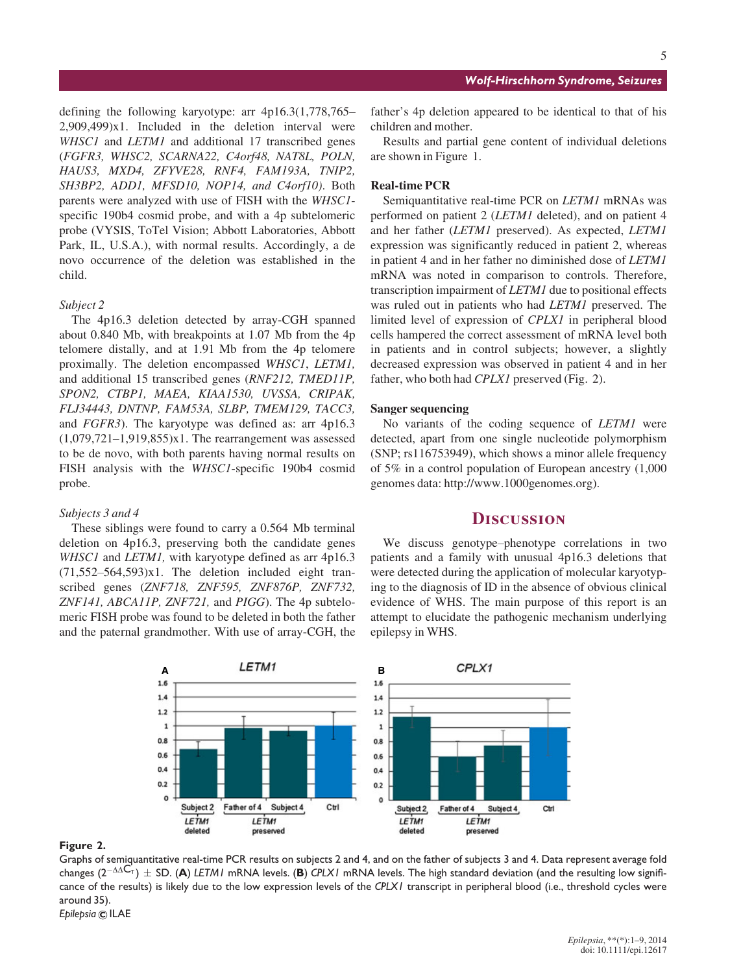defining the following karyotype: arr 4p16.3(1,778,765– 2,909,499)x1. Included in the deletion interval were WHSC1 and LETM1 and additional 17 transcribed genes (FGFR3, WHSC2, SCARNA22, C4orf48, NAT8L, POLN, HAUS3, MXD4, ZFYVE28, RNF4, FAM193A, TNIP2, SH3BP2, ADD1, MFSD10, NOP14, and C4orf10). Both parents were analyzed with use of FISH with the WHSC1 specific 190b4 cosmid probe, and with a 4p subtelomeric probe (VYSIS, ToTel Vision; Abbott Laboratories, Abbott Park, IL, U.S.A.), with normal results. Accordingly, a de novo occurrence of the deletion was established in the child.

## Subject 2

The 4p16.3 deletion detected by array-CGH spanned about 0.840 Mb, with breakpoints at 1.07 Mb from the 4p telomere distally, and at 1.91 Mb from the 4p telomere proximally. The deletion encompassed WHSC1, LETM1, and additional 15 transcribed genes (RNF212, TMED11P, SPON2, CTBP1, MAEA, KIAA1530, UVSSA, CRIPAK, FLJ34443, DNTNP, FAM53A, SLBP, TMEM129, TACC3, and FGFR3). The karyotype was defined as: arr 4p16.3  $(1,079,721-1,919,855)x1$ . The rearrangement was assessed to be de novo, with both parents having normal results on FISH analysis with the WHSC1-specific 190b4 cosmid probe.

## Subjects 3 and 4

These siblings were found to carry a 0.564 Mb terminal deletion on 4p16.3, preserving both the candidate genes WHSC1 and LETM1, with karyotype defined as arr 4p16.3  $(71,552-564,593)x1$ . The deletion included eight transcribed genes (ZNF718, ZNF595, ZNF876P, ZNF732, ZNF141, ABCA11P, ZNF721, and PIGG). The 4p subtelomeric FISH probe was found to be deleted in both the father and the paternal grandmother. With use of array-CGH, the 5

father's 4p deletion appeared to be identical to that of his children and mother.

Results and partial gene content of individual deletions are shown in Figure 1.

## Real-time PCR

Semiquantitative real-time PCR on *LETM1* mRNAs was performed on patient 2 (LETM1 deleted), and on patient 4 and her father (LETM1 preserved). As expected, LETM1 expression was significantly reduced in patient 2, whereas in patient 4 and in her father no diminished dose of LETM1 mRNA was noted in comparison to controls. Therefore, transcription impairment of LETM1 due to positional effects was ruled out in patients who had LETM1 preserved. The limited level of expression of CPLX1 in peripheral blood cells hampered the correct assessment of mRNA level both in patients and in control subjects; however, a slightly decreased expression was observed in patient 4 and in her father, who both had *CPLX1* preserved (Fig. 2).

#### Sanger sequencing

No variants of the coding sequence of LETM1 were detected, apart from one single nucleotide polymorphism (SNP; rs116753949), which shows a minor allele frequency of 5% in a control population of European ancestry (1,000 genomes data: http://www.1000genomes.org).

## **DISCUSSION**

We discuss genotype–phenotype correlations in two patients and a family with unusual 4p16.3 deletions that were detected during the application of molecular karyotyping to the diagnosis of ID in the absence of obvious clinical evidence of WHS. The main purpose of this report is an attempt to elucidate the pathogenic mechanism underlying epilepsy in WHS.



#### Figure 2.

Graphs of semiquantitative real-time PCR results on subjects 2 and 4, and on the father of subjects 3 and 4. Data represent average fold changes ( $2^{-\Delta\Delta C_{\tau}}$ )  $\pm$  SD. (A) LETM1 mRNA levels. (B) CPLX1 mRNA levels. The high standard deviation (and the resulting low significance of the results) is likely due to the low expression levels of the CPLX1 transcript in peripheral blood (i.e., threshold cycles were around 35).

Epilepsia © ILAE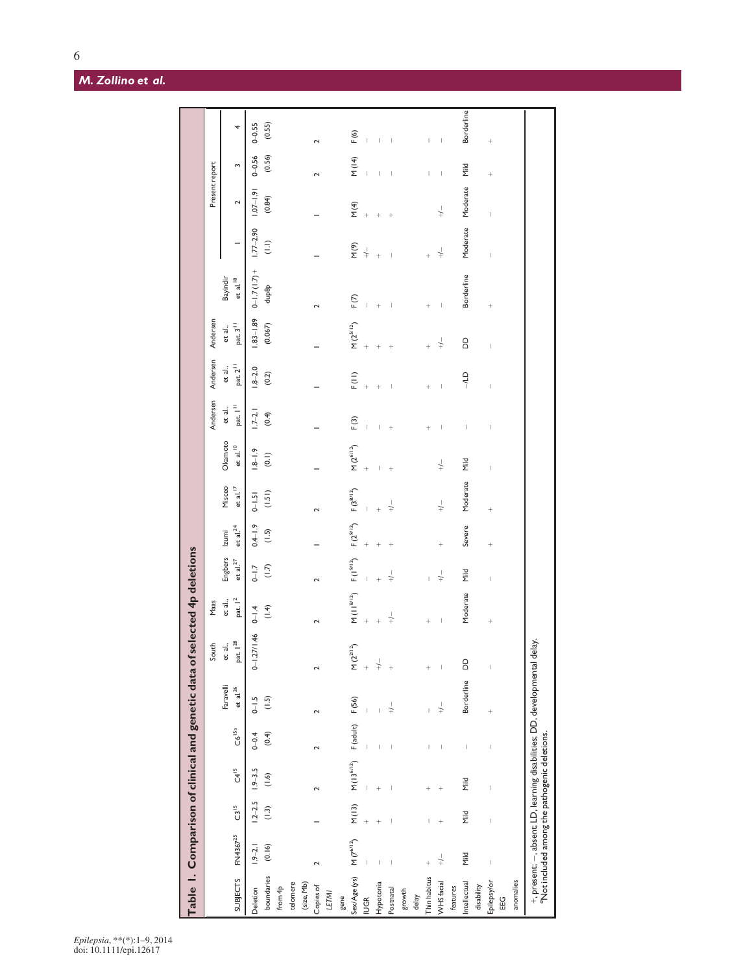$6\,$ 

|                 |                          |                                |                    |                                                                                                                                                                                                                                                                                                                                                                                  |                                                                                                                              | Table 1. Comparison of clinical and genetic data of selected 4p deletions |                                       |                                 |                                                              |                          |                        |                                                                                                                                                                                                                                                                                                                                                                                  |                          |                                |                                                                                                                                                                                                                                                                                                                                                                                                                |                          |                |                                                                                                                                                                                                                                                                                                                                                                                  |                          |
|-----------------|--------------------------|--------------------------------|--------------------|----------------------------------------------------------------------------------------------------------------------------------------------------------------------------------------------------------------------------------------------------------------------------------------------------------------------------------------------------------------------------------|------------------------------------------------------------------------------------------------------------------------------|---------------------------------------------------------------------------|---------------------------------------|---------------------------------|--------------------------------------------------------------|--------------------------|------------------------|----------------------------------------------------------------------------------------------------------------------------------------------------------------------------------------------------------------------------------------------------------------------------------------------------------------------------------------------------------------------------------|--------------------------|--------------------------------|----------------------------------------------------------------------------------------------------------------------------------------------------------------------------------------------------------------------------------------------------------------------------------------------------------------------------------------------------------------------------------------------------------------|--------------------------|----------------|----------------------------------------------------------------------------------------------------------------------------------------------------------------------------------------------------------------------------------------------------------------------------------------------------------------------------------------------------------------------------------|--------------------------|
|                 |                          |                                |                    |                                                                                                                                                                                                                                                                                                                                                                                  |                                                                                                                              | South                                                                     | $\mathsf{Maas}$                       |                                 |                                                              |                          |                        | Andersen                                                                                                                                                                                                                                                                                                                                                                         | Andersen                 | Andersen                       |                                                                                                                                                                                                                                                                                                                                                                                                                |                          | Present report |                                                                                                                                                                                                                                                                                                                                                                                  |                          |
| <b>SUBJECTS</b> | FN4367 <sup>25</sup>     | $C3$ <sup>15</sup>             | $C4$ <sup>15</sup> | $C6$ <sup>15a</sup>                                                                                                                                                                                                                                                                                                                                                              | Faravelli<br>et al. $^{26}$                                                                                                  | pat. $\mathsf{I}^{28}$<br>et al.,                                         | pat. $ ^{2}$<br>et al.,               | Engbers Izumi<br>et al. $^{27}$ | et al. $^{24}$                                               | Misceo<br>et al. $^{17}$ | Okamoto<br>et al. $10$ | pat. $I11$<br>et al.,                                                                                                                                                                                                                                                                                                                                                            | pat. $2^{11}$<br>et al., | pat. $3^{11}$<br>et al.,       | Bayindir<br>et al. $^{18}$                                                                                                                                                                                                                                                                                                                                                                                     |                          | $\sim$         | $\sim$                                                                                                                                                                                                                                                                                                                                                                           | 4                        |
| Deletion        | $1.9 - 2.1$              | $1.2 - 2.5$                    | $1.9 - 3.5$        | $0 - 0.4$                                                                                                                                                                                                                                                                                                                                                                        | $0 - 1.5$                                                                                                                    | $0 - 1.27/1.46$                                                           | $0 - 1.4$                             | $0 - 1.7$                       | $0.4 - 1.9$                                                  | $0 - 1.5$                | $-1.9$                 | $1.7 - 2.1$                                                                                                                                                                                                                                                                                                                                                                      | $1.8 - 2.0$              | $83 - 1.89$                    | $0-1.7(1.7) + 1.77-2.90$                                                                                                                                                                                                                                                                                                                                                                                       |                          | $1.07 - 1.9$   | $0 - 0.56$                                                                                                                                                                                                                                                                                                                                                                       | $0 - 0.55$               |
| boundaries      | (0.16)                   | $(1.3)$                        | (1.6)              | (0.4)                                                                                                                                                                                                                                                                                                                                                                            | (1.5)                                                                                                                        |                                                                           | (1.4)                                 | (1.7)                           | $\begin{array}{c}\n\overline{1}\\ \overline{1}\n\end{array}$ | (1.51)                   | $\overline{e}$         | (0.4)                                                                                                                                                                                                                                                                                                                                                                            | (0.2)                    | (0.067)                        | dup8p                                                                                                                                                                                                                                                                                                                                                                                                          | $\frac{1}{2}$            | (0.84)         | (0.56)                                                                                                                                                                                                                                                                                                                                                                           | (0.55)                   |
| from 4p         |                          |                                |                    |                                                                                                                                                                                                                                                                                                                                                                                  |                                                                                                                              |                                                                           |                                       |                                 |                                                              |                          |                        |                                                                                                                                                                                                                                                                                                                                                                                  |                          |                                |                                                                                                                                                                                                                                                                                                                                                                                                                |                          |                |                                                                                                                                                                                                                                                                                                                                                                                  |                          |
| telomere        |                          |                                |                    |                                                                                                                                                                                                                                                                                                                                                                                  |                                                                                                                              |                                                                           |                                       |                                 |                                                              |                          |                        |                                                                                                                                                                                                                                                                                                                                                                                  |                          |                                |                                                                                                                                                                                                                                                                                                                                                                                                                |                          |                |                                                                                                                                                                                                                                                                                                                                                                                  |                          |
| (size, Mb)      |                          |                                |                    |                                                                                                                                                                                                                                                                                                                                                                                  |                                                                                                                              |                                                                           |                                       |                                 |                                                              |                          |                        |                                                                                                                                                                                                                                                                                                                                                                                  |                          |                                |                                                                                                                                                                                                                                                                                                                                                                                                                |                          |                |                                                                                                                                                                                                                                                                                                                                                                                  |                          |
| Copies of       | $\sim$                   |                                | $\sim$             | $\sim$                                                                                                                                                                                                                                                                                                                                                                           | $\mathbf{\tilde{c}}$                                                                                                         | $\sim$                                                                    | $\sim$                                |                                 |                                                              |                          |                        |                                                                                                                                                                                                                                                                                                                                                                                  |                          |                                | $\sim$                                                                                                                                                                                                                                                                                                                                                                                                         |                          |                |                                                                                                                                                                                                                                                                                                                                                                                  | $\sim$                   |
| <b>LETM1</b>    |                          |                                |                    |                                                                                                                                                                                                                                                                                                                                                                                  |                                                                                                                              |                                                                           |                                       |                                 |                                                              |                          |                        |                                                                                                                                                                                                                                                                                                                                                                                  |                          |                                |                                                                                                                                                                                                                                                                                                                                                                                                                |                          |                |                                                                                                                                                                                                                                                                                                                                                                                  |                          |
| gene            |                          |                                |                    |                                                                                                                                                                                                                                                                                                                                                                                  |                                                                                                                              |                                                                           |                                       |                                 |                                                              |                          |                        |                                                                                                                                                                                                                                                                                                                                                                                  |                          |                                |                                                                                                                                                                                                                                                                                                                                                                                                                |                          |                |                                                                                                                                                                                                                                                                                                                                                                                  |                          |
| Sex/Age (ys)    | $M(7^{6/12})$            | M(13)                          | $M(13^{6/12})$     | F (adult)                                                                                                                                                                                                                                                                                                                                                                        | F(56)                                                                                                                        | $M(2^{2^{1/2}})$                                                          | $M(11^{8/12})$                        | $F(1^{9/12})$                   | $F(2^{9/12})$                                                | $F(3^{8/12})$            | $M(2^{6/12})$          | F(3)                                                                                                                                                                                                                                                                                                                                                                             | F(1)                     | $M(2^{5/12})$                  | F(7)                                                                                                                                                                                                                                                                                                                                                                                                           | $\frac{1}{2}$            | M(4)           | M(14)                                                                                                                                                                                                                                                                                                                                                                            | F(6)                     |
| IUGR            |                          |                                |                    |                                                                                                                                                                                                                                                                                                                                                                                  |                                                                                                                              | $^{+}$                                                                    | $\overline{+}$                        |                                 |                                                              |                          |                        | $\overline{1}$                                                                                                                                                                                                                                                                                                                                                                   |                          |                                |                                                                                                                                                                                                                                                                                                                                                                                                                | $\stackrel{\perp}{+}$    | $^{+}$         |                                                                                                                                                                                                                                                                                                                                                                                  | $\overline{1}$           |
| Hypotonia       |                          |                                |                    |                                                                                                                                                                                                                                                                                                                                                                                  |                                                                                                                              | $\frac{1}{+}$                                                             |                                       |                                 |                                                              |                          |                        |                                                                                                                                                                                                                                                                                                                                                                                  |                          |                                | $\ddot{}$                                                                                                                                                                                                                                                                                                                                                                                                      | $\overline{+}$           | $\ddot{}$      | Ï                                                                                                                                                                                                                                                                                                                                                                                |                          |
| Postnatal       | $\overline{\phantom{a}}$ | I                              |                    | $\overline{\phantom{a}}$                                                                                                                                                                                                                                                                                                                                                         | $\frac{1}{1}$                                                                                                                | $^{+}$                                                                    | $+\frac{1}{2}$                        | $\frac{1}{1}$                   |                                                              | $+\frac{1}{2}$           | $\ddot{}$              | $\ddot{}$                                                                                                                                                                                                                                                                                                                                                                        | ľ                        | $\ddot{}$                      | $\overline{\phantom{a}}$                                                                                                                                                                                                                                                                                                                                                                                       |                          | $^{+}$         | $\overline{\phantom{a}}$                                                                                                                                                                                                                                                                                                                                                         | $\overline{\phantom{a}}$ |
| growth          |                          |                                |                    |                                                                                                                                                                                                                                                                                                                                                                                  |                                                                                                                              |                                                                           |                                       |                                 |                                                              |                          |                        |                                                                                                                                                                                                                                                                                                                                                                                  |                          |                                |                                                                                                                                                                                                                                                                                                                                                                                                                |                          |                |                                                                                                                                                                                                                                                                                                                                                                                  |                          |
| delay           |                          |                                |                    |                                                                                                                                                                                                                                                                                                                                                                                  |                                                                                                                              |                                                                           |                                       |                                 |                                                              |                          |                        |                                                                                                                                                                                                                                                                                                                                                                                  |                          |                                |                                                                                                                                                                                                                                                                                                                                                                                                                |                          |                |                                                                                                                                                                                                                                                                                                                                                                                  |                          |
| Thin habitus    | $^{+}$                   |                                |                    | I                                                                                                                                                                                                                                                                                                                                                                                |                                                                                                                              | $^{+}$                                                                    | $^{+}$                                |                                 |                                                              |                          |                        | $\overline{+}$                                                                                                                                                                                                                                                                                                                                                                   | $\overline{+}$           |                                | $^{+}$                                                                                                                                                                                                                                                                                                                                                                                                         | $^{+}$                   |                | ï                                                                                                                                                                                                                                                                                                                                                                                | I                        |
| WHS facial      | $+\frac{1}{2}$           |                                |                    | I                                                                                                                                                                                                                                                                                                                                                                                | $+\frac{1}{2}$                                                                                                               | $\begin{array}{c} \hline \end{array}$                                     | $\begin{array}{c} \hline \end{array}$ | $\frac{1}{2}$                   | $\ddot{}$                                                    | $+\frac{1}{2}$           | $+\frac{1}{1}$         | $\overline{\phantom{a}}$                                                                                                                                                                                                                                                                                                                                                         | $\overline{\phantom{a}}$ | $\downarrow$                   | $\begin{array}{c} \rule{0pt}{2ex} \rule{0pt}{2ex} \rule{0pt}{2ex} \rule{0pt}{2ex} \rule{0pt}{2ex} \rule{0pt}{2ex} \rule{0pt}{2ex} \rule{0pt}{2ex} \rule{0pt}{2ex} \rule{0pt}{2ex} \rule{0pt}{2ex} \rule{0pt}{2ex} \rule{0pt}{2ex} \rule{0pt}{2ex} \rule{0pt}{2ex} \rule{0pt}{2ex} \rule{0pt}{2ex} \rule{0pt}{2ex} \rule{0pt}{2ex} \rule{0pt}{2ex} \rule{0pt}{2ex} \rule{0pt}{2ex} \rule{0pt}{2ex} \rule{0pt}{$ | $+\frac{1}{2}$           | $+\frac{1}{2}$ | $\begin{array}{c} \rule{0pt}{2.5ex} \rule{0pt}{2.5ex} \rule{0pt}{2.5ex} \rule{0pt}{2.5ex} \rule{0pt}{2.5ex} \rule{0pt}{2.5ex} \rule{0pt}{2.5ex} \rule{0pt}{2.5ex} \rule{0pt}{2.5ex} \rule{0pt}{2.5ex} \rule{0pt}{2.5ex} \rule{0pt}{2.5ex} \rule{0pt}{2.5ex} \rule{0pt}{2.5ex} \rule{0pt}{2.5ex} \rule{0pt}{2.5ex} \rule{0pt}{2.5ex} \rule{0pt}{2.5ex} \rule{0pt}{2.5ex} \rule{0$ | $\vert$                  |
| features        |                          |                                |                    |                                                                                                                                                                                                                                                                                                                                                                                  |                                                                                                                              |                                                                           |                                       |                                 |                                                              |                          |                        |                                                                                                                                                                                                                                                                                                                                                                                  |                          |                                |                                                                                                                                                                                                                                                                                                                                                                                                                |                          |                |                                                                                                                                                                                                                                                                                                                                                                                  |                          |
| Intellectual    | <b>Mild</b>              | <b>Mild</b>                    | <b>Mild</b>        | $\begin{array}{c} \rule{0pt}{2.5ex} \rule{0pt}{2.5ex} \rule{0pt}{2.5ex} \rule{0pt}{2.5ex} \rule{0pt}{2.5ex} \rule{0pt}{2.5ex} \rule{0pt}{2.5ex} \rule{0pt}{2.5ex} \rule{0pt}{2.5ex} \rule{0pt}{2.5ex} \rule{0pt}{2.5ex} \rule{0pt}{2.5ex} \rule{0pt}{2.5ex} \rule{0pt}{2.5ex} \rule{0pt}{2.5ex} \rule{0pt}{2.5ex} \rule{0pt}{2.5ex} \rule{0pt}{2.5ex} \rule{0pt}{2.5ex} \rule{0$ | Borderline                                                                                                                   | $\overline{a}$                                                            | Moderate                              | Mild                            | Severe                                                       | Moderate                 | Mild                   | $\begin{array}{c} \rule{0pt}{2.5ex} \rule{0pt}{2.5ex} \rule{0pt}{2.5ex} \rule{0pt}{2.5ex} \rule{0pt}{2.5ex} \rule{0pt}{2.5ex} \rule{0pt}{2.5ex} \rule{0pt}{2.5ex} \rule{0pt}{2.5ex} \rule{0pt}{2.5ex} \rule{0pt}{2.5ex} \rule{0pt}{2.5ex} \rule{0pt}{2.5ex} \rule{0pt}{2.5ex} \rule{0pt}{2.5ex} \rule{0pt}{2.5ex} \rule{0pt}{2.5ex} \rule{0pt}{2.5ex} \rule{0pt}{2.5ex} \rule{0$ | $-11$                    | $\overline{a}$                 | Borderline                                                                                                                                                                                                                                                                                                                                                                                                     | Moderate                 | Moderate       | Mild                                                                                                                                                                                                                                                                                                                                                                             | <b>Borderline</b>        |
| disability      |                          |                                |                    |                                                                                                                                                                                                                                                                                                                                                                                  |                                                                                                                              |                                                                           |                                       |                                 |                                                              |                          |                        |                                                                                                                                                                                                                                                                                                                                                                                  |                          |                                |                                                                                                                                                                                                                                                                                                                                                                                                                |                          |                |                                                                                                                                                                                                                                                                                                                                                                                  |                          |
| Epilepsy/or     |                          | $\begin{array}{c} \end{array}$ |                    | $\begin{array}{c} \end{array}$                                                                                                                                                                                                                                                                                                                                                   | $^{+}$                                                                                                                       | I                                                                         | $^{+}$                                |                                 | $^{+}$                                                       | $\overline{+}$           | $\overline{1}$         | $\begin{array}{c} \end{array}$                                                                                                                                                                                                                                                                                                                                                   | $\overline{1}$           | $\begin{array}{c} \end{array}$ | $^{+}$                                                                                                                                                                                                                                                                                                                                                                                                         | $\overline{\phantom{a}}$ | I              | $^{+}$                                                                                                                                                                                                                                                                                                                                                                           | $^{+}$                   |
| EEG             |                          |                                |                    |                                                                                                                                                                                                                                                                                                                                                                                  |                                                                                                                              |                                                                           |                                       |                                 |                                                              |                          |                        |                                                                                                                                                                                                                                                                                                                                                                                  |                          |                                |                                                                                                                                                                                                                                                                                                                                                                                                                |                          |                |                                                                                                                                                                                                                                                                                                                                                                                  |                          |
| anomalies       |                          |                                |                    |                                                                                                                                                                                                                                                                                                                                                                                  |                                                                                                                              |                                                                           |                                       |                                 |                                                              |                          |                        |                                                                                                                                                                                                                                                                                                                                                                                  |                          |                                |                                                                                                                                                                                                                                                                                                                                                                                                                |                          |                |                                                                                                                                                                                                                                                                                                                                                                                  |                          |
|                 |                          |                                |                    |                                                                                                                                                                                                                                                                                                                                                                                  | +, present; – , absent; LD, learning disabilities; DD, developmental delay.<br>°Not included among the pathogenic deletions. |                                                                           |                                       |                                 |                                                              |                          |                        |                                                                                                                                                                                                                                                                                                                                                                                  |                          |                                |                                                                                                                                                                                                                                                                                                                                                                                                                |                          |                |                                                                                                                                                                                                                                                                                                                                                                                  |                          |

L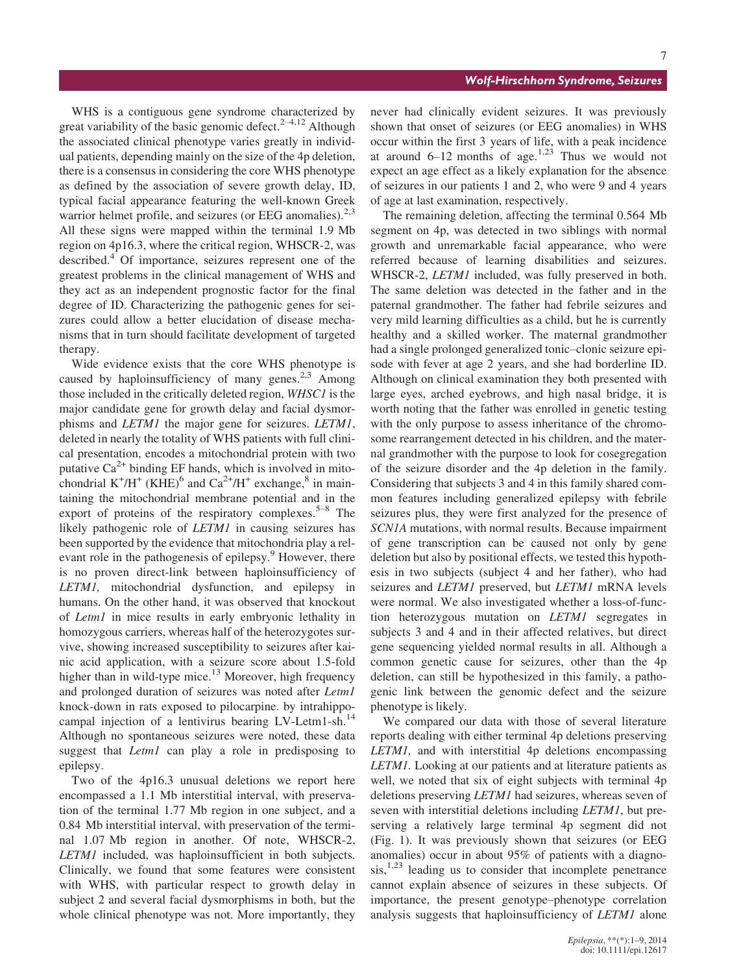WHS is a contiguous gene syndrome characterized by great variability of the basic genomic defect.<sup>2–4,12</sup> Although the associated clinical phenotype varies greatly in individual patients, depending mainly on the size of the 4p deletion, there is a consensus in considering the core WHS phenotype as defined by the association of severe growth delay, ID, typical facial appearance featuring the well-known Greek warrior helmet profile, and seizures (or EEG anomalies). $2,3$ All these signs were mapped within the terminal 1.9 Mb region on 4p16.3, where the critical region, WHSCR-2, was described.<sup>4</sup> Of importance, seizures represent one of the greatest problems in the clinical management of WHS and they act as an independent prognostic factor for the final degree of ID. Characterizing the pathogenic genes for seizures could allow a better elucidation of disease mechanisms that in turn should facilitate development of targeted therapy.

Wide evidence exists that the core WHS phenotype is caused by haploinsufficiency of many genes.<sup>2,3</sup> Among those included in the critically deleted region, WHSC1 is the major candidate gene for growth delay and facial dysmorphisms and LETM1 the major gene for seizures. LETM1, deleted in nearly the totality of WHS patients with full clinical presentation, encodes a mitochondrial protein with two putative  $Ca^{2+}$  binding EF hands, which is involved in mitochondrial  $K^+/H^+$  (KHE)<sup>6</sup> and Ca<sup>2+</sup>/H<sup>+</sup> exchange,<sup>8</sup> in maintaining the mitochondrial membrane potential and in the export of proteins of the respiratory complexes.<sup>5–8</sup> The likely pathogenic role of *LETM1* in causing seizures has been supported by the evidence that mitochondria play a relevant role in the pathogenesis of epilepsy.<sup>9</sup> However, there is no proven direct-link between haploinsufficiency of LETM1, mitochondrial dysfunction, and epilepsy in humans. On the other hand, it was observed that knockout of Letm1 in mice results in early embryonic lethality in homozygous carriers, whereas half of the heterozygotes survive, showing increased susceptibility to seizures after kainic acid application, with a seizure score about 1.5-fold higher than in wild-type mice.<sup>13</sup> Moreover, high frequency and prolonged duration of seizures was noted after Letm1 knock-down in rats exposed to pilocarpine. by intrahippocampal injection of a lentivirus bearing LV-Letm1-sh.<sup>14</sup> Although no spontaneous seizures were noted, these data suggest that *Letm1* can play a role in predisposing to epilepsy.

Two of the 4p16.3 unusual deletions we report here encompassed a 1.1 Mb interstitial interval, with preservation of the terminal 1.77 Mb region in one subject, and a 0.84 Mb interstitial interval, with preservation of the terminal 1.07 Mb region in another. Of note, WHSCR-2, LETM1 included, was haploinsufficient in both subjects. Clinically, we found that some features were consistent with WHS, with particular respect to growth delay in subject 2 and several facial dysmorphisms in both, but the whole clinical phenotype was not. More importantly, they

## Wolf-Hirschhorn Syndrome, Seizures

never had clinically evident seizures. It was previously shown that onset of seizures (or EEG anomalies) in WHS occur within the first 3 years of life, with a peak incidence at around  $6-12$  months of age.<sup>1,23</sup> Thus we would not expect an age effect as a likely explanation for the absence of seizures in our patients 1 and 2, who were 9 and 4 years of age at last examination, respectively.

The remaining deletion, affecting the terminal 0.564 Mb segment on 4p, was detected in two siblings with normal growth and unremarkable facial appearance, who were referred because of learning disabilities and seizures. WHSCR-2, *LETM1* included, was fully preserved in both. The same deletion was detected in the father and in the paternal grandmother. The father had febrile seizures and very mild learning difficulties as a child, but he is currently healthy and a skilled worker. The maternal grandmother had a single prolonged generalized tonic–clonic seizure episode with fever at age 2 years, and she had borderline ID. Although on clinical examination they both presented with large eyes, arched eyebrows, and high nasal bridge, it is worth noting that the father was enrolled in genetic testing with the only purpose to assess inheritance of the chromosome rearrangement detected in his children, and the maternal grandmother with the purpose to look for cosegregation of the seizure disorder and the 4p deletion in the family. Considering that subjects 3 and 4 in this family shared common features including generalized epilepsy with febrile seizures plus, they were first analyzed for the presence of SCN1A mutations, with normal results. Because impairment of gene transcription can be caused not only by gene deletion but also by positional effects, we tested this hypothesis in two subjects (subject 4 and her father), who had seizures and *LETM1* preserved, but *LETM1* mRNA levels were normal. We also investigated whether a loss-of-function heterozygous mutation on LETM1 segregates in subjects 3 and 4 and in their affected relatives, but direct gene sequencing yielded normal results in all. Although a common genetic cause for seizures, other than the 4p deletion, can still be hypothesized in this family, a pathogenic link between the genomic defect and the seizure phenotype is likely.

We compared our data with those of several literature reports dealing with either terminal 4p deletions preserving LETM1, and with interstitial 4p deletions encompassing LETM1. Looking at our patients and at literature patients as well, we noted that six of eight subjects with terminal 4p deletions preserving LETM1 had seizures, whereas seven of seven with interstitial deletions including LETM1, but preserving a relatively large terminal 4p segment did not (Fig. 1). It was previously shown that seizures (or EEG anomalies) occur in about 95% of patients with a diagno- $\sin^{1,23}$  leading us to consider that incomplete penetrance cannot explain absence of seizures in these subjects. Of importance, the present genotype–phenotype correlation analysis suggests that haploinsufficiency of LETM1 alone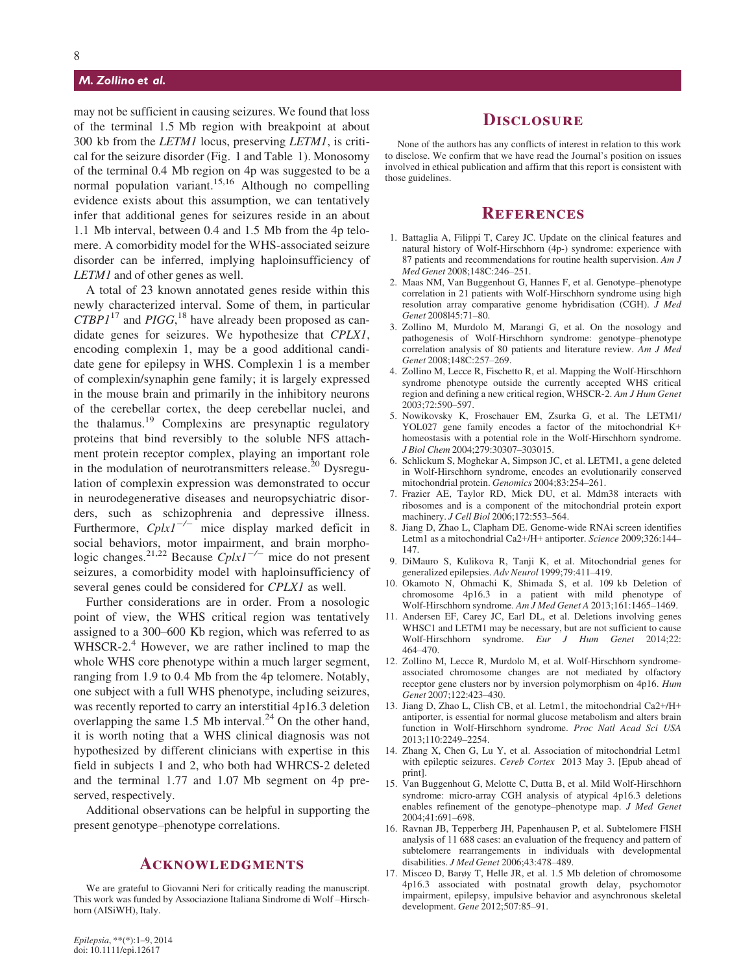## M. Zollino et al.

may not be sufficient in causing seizures. We found that loss of the terminal 1.5 Mb region with breakpoint at about 300 kb from the LETM1 locus, preserving LETM1, is critical for the seizure disorder (Fig. 1 and Table 1). Monosomy of the terminal 0.4 Mb region on 4p was suggested to be a normal population variant.<sup>15,16</sup> Although no compelling evidence exists about this assumption, we can tentatively infer that additional genes for seizures reside in an about 1.1 Mb interval, between 0.4 and 1.5 Mb from the 4p telomere. A comorbidity model for the WHS-associated seizure disorder can be inferred, implying haploinsufficiency of LETM1 and of other genes as well.

A total of 23 known annotated genes reside within this newly characterized interval. Some of them, in particular  $CTBP1^{17}$  and PIGG, <sup>18</sup> have already been proposed as candidate genes for seizures. We hypothesize that CPLX1, encoding complexin 1, may be a good additional candidate gene for epilepsy in WHS. Complexin 1 is a member of complexin/synaphin gene family; it is largely expressed in the mouse brain and primarily in the inhibitory neurons of the cerebellar cortex, the deep cerebellar nuclei, and the thalamus.<sup>19</sup> Complexins are presynaptic regulatory proteins that bind reversibly to the soluble NFS attachment protein receptor complex, playing an important role in the modulation of neurotransmitters release.<sup>20</sup> Dysregulation of complexin expression was demonstrated to occur in neurodegenerative diseases and neuropsychiatric disorders, such as schizophrenia and depressive illness. Furthermore,  $Cplx1^{-/-}$  mice display marked deficit in social behaviors, motor impairment, and brain morphologic changes.<sup>21,22</sup> Because  $Cplx1^{-/-}$  mice do not present seizures, a comorbidity model with haploinsufficiency of several genes could be considered for CPLX1 as well.

Further considerations are in order. From a nosologic point of view, the WHS critical region was tentatively assigned to a 300–600 Kb region, which was referred to as WHSCR-2. $4$  However, we are rather inclined to map the whole WHS core phenotype within a much larger segment, ranging from 1.9 to 0.4 Mb from the 4p telomere. Notably, one subject with a full WHS phenotype, including seizures, was recently reported to carry an interstitial 4p16.3 deletion overlapping the same 1.5 Mb interval. $^{24}$  On the other hand, it is worth noting that a WHS clinical diagnosis was not hypothesized by different clinicians with expertise in this field in subjects 1 and 2, who both had WHRCS-2 deleted and the terminal 1.77 and 1.07 Mb segment on 4p preserved, respectively.

Additional observations can be helpful in supporting the present genotype–phenotype correlations.

## Acknowledgments

We are grateful to Giovanni Neri for critically reading the manuscript. This work was funded by Associazione Italiana Sindrome di Wolf –Hirschhorn (AISiWH), Italy.

None of the authors has any conflicts of interest in relation to this work to disclose. We confirm that we have read the Journal's position on issues involved in ethical publication and affirm that this report is consistent with those guidelines.

## **REFERENCES**

- 1. Battaglia A, Filippi T, Carey JC. Update on the clinical features and natural history of Wolf-Hirschhorn (4p-) syndrome: experience with 87 patients and recommendations for routine health supervision. Am J Med Genet 2008;148C:246–251.
- 2. Maas NM, Van Buggenhout G, Hannes F, et al. Genotype–phenotype correlation in 21 patients with Wolf-Hirschhorn syndrome using high resolution array comparative genome hybridisation (CGH). J Med Genet 2008l45:71–80.
- 3. Zollino M, Murdolo M, Marangi G, et al. On the nosology and pathogenesis of Wolf-Hirschhorn syndrome: genotype–phenotype correlation analysis of 80 patients and literature review. Am J Med Genet 2008;148C:257–269.
- 4. Zollino M, Lecce R, Fischetto R, et al. Mapping the Wolf-Hirschhorn syndrome phenotype outside the currently accepted WHS critical region and defining a new critical region, WHSCR-2. Am J Hum Genet 2003;72:590–597.
- 5. Nowikovsky K, Froschauer EM, Zsurka G, et al. The LETM1/ YOL027 gene family encodes a factor of the mitochondrial K+ homeostasis with a potential role in the Wolf-Hirschhorn syndrome. J Biol Chem 2004;279:30307–303015.
- 6. Schlickum S, Moghekar A, Simpson JC, et al. LETM1, a gene deleted in Wolf-Hirschhorn syndrome, encodes an evolutionarily conserved mitochondrial protein. Genomics 2004;83:254–261.
- 7. Frazier AE, Taylor RD, Mick DU, et al. Mdm38 interacts with ribosomes and is a component of the mitochondrial protein export machinery. *J Cell Biol* 2006;172:553-564.
- 8. Jiang D, Zhao L, Clapham DE. Genome-wide RNAi screen identifies Letm1 as a mitochondrial Ca2+/H+ antiporter. Science 2009;326:144– 147.
- 9. DiMauro S, Kulikova R, Tanji K, et al. Mitochondrial genes for generalized epilepsies. Adv Neurol 1999;79:411–419.
- 10. Okamoto N, Ohmachi K, Shimada S, et al. 109 kb Deletion of chromosome 4p16.3 in a patient with mild phenotype of Wolf-Hirschhorn syndrome. Am J Med Genet A 2013;161:1465–1469.
- 11. Andersen EF, Carey JC, Earl DL, et al. Deletions involving genes WHSC1 and LETM1 may be necessary, but are not sufficient to cause Wolf-Hirschhorn syndrome. Eur J Hum Genet 2014;22: 464–470.
- 12. Zollino M, Lecce R, Murdolo M, et al. Wolf-Hirschhorn syndromeassociated chromosome changes are not mediated by olfactory receptor gene clusters nor by inversion polymorphism on 4p16. Hum Genet 2007:122:423-430.
- 13. Jiang D, Zhao L, Clish CB, et al. Letm1, the mitochondrial Ca2+/H+ antiporter, is essential for normal glucose metabolism and alters brain function in Wolf-Hirschhorn syndrome. Proc Natl Acad Sci USA 2013;110:2249–2254.
- 14. Zhang X, Chen G, Lu Y, et al. Association of mitochondrial Letm1 with epileptic seizures. Cereb Cortex 2013 May 3. [Epub ahead of print].
- 15. Van Buggenhout G, Melotte C, Dutta B, et al. Mild Wolf-Hirschhorn syndrome: micro-array CGH analysis of atypical 4p16.3 deletions enables refinement of the genotype–phenotype map. J Med Genet 2004;41:691–698.
- 16. Ravnan JB, Tepperberg JH, Papenhausen P, et al. Subtelomere FISH analysis of 11 688 cases: an evaluation of the frequency and pattern of subtelomere rearrangements in individuals with developmental disabilities. J Med Genet 2006;43:478–489.
- 17. Misceo D, Barøy T, Helle JR, et al. 1.5 Mb deletion of chromosome 4p16.3 associated with postnatal growth delay, psychomotor impairment, epilepsy, impulsive behavior and asynchronous skeletal development. Gene 2012;507:85–91.